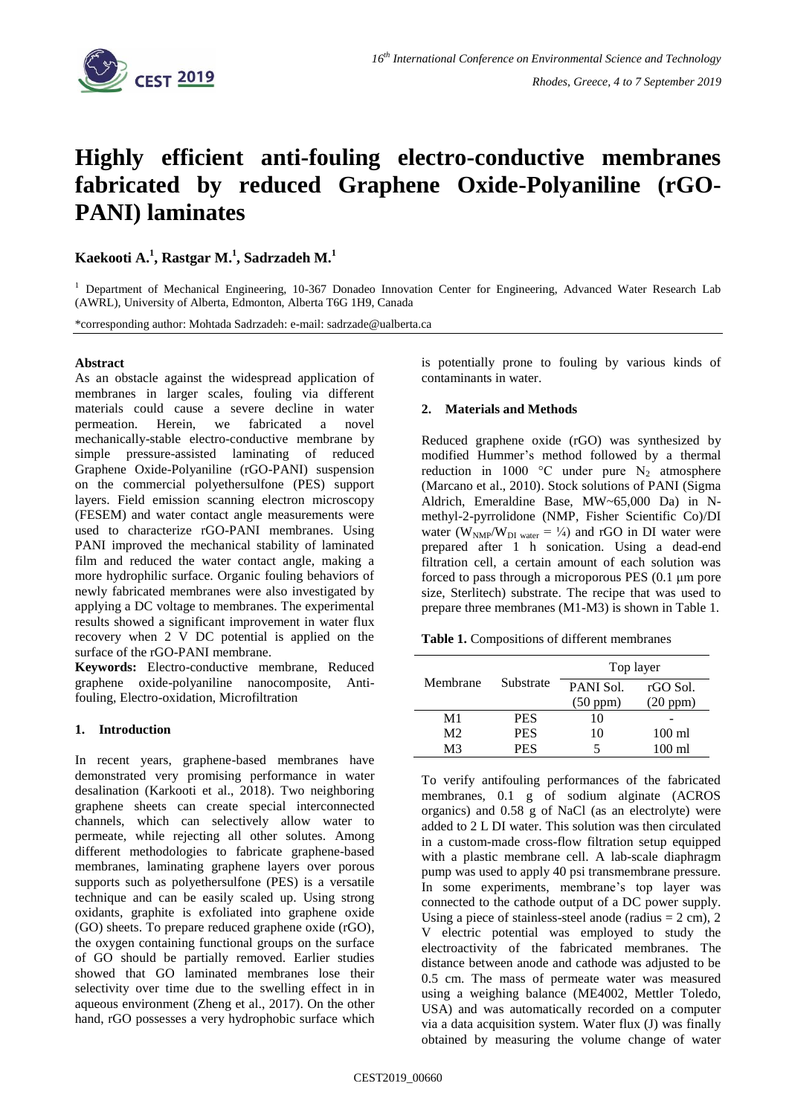

# **Highly efficient anti-fouling electro-conductive membranes fabricated by reduced Graphene Oxide-Polyaniline (rGO-PANI) laminates**

**Kaekooti A. 1 , Rastgar M. 1 , Sadrzadeh M.<sup>1</sup>**

<sup>1</sup> Department of Mechanical Engineering, 10-367 Donadeo Innovation Center for Engineering, Advanced Water Research Lab (AWRL), University of Alberta, Edmonton, Alberta T6G 1H9, Canada

\*corresponding author: Mohtada Sadrzadeh: e-mail: sadrzade@ualberta.ca

## **Abstract**

As an obstacle against the widespread application of membranes in larger scales, fouling via different materials could cause a severe decline in water permeation. Herein, we fabricated a novel mechanically-stable electro-conductive membrane by simple pressure-assisted laminating of reduced Graphene Oxide-Polyaniline (rGO-PANI) suspension on the commercial polyethersulfone (PES) support layers. Field emission scanning electron microscopy (FESEM) and water contact angle measurements were used to characterize rGO-PANI membranes. Using PANI improved the mechanical stability of laminated film and reduced the water contact angle, making a more hydrophilic surface. Organic fouling behaviors of newly fabricated membranes were also investigated by applying a DC voltage to membranes. The experimental results showed a significant improvement in water flux recovery when 2 V DC potential is applied on the surface of the rGO-PANI membrane.

**Keywords:** Electro-conductive membrane, Reduced graphene oxide-polyaniline nanocomposite, Antifouling, Electro-oxidation, Microfiltration

## **1. Introduction**

In recent years, graphene-based membranes have demonstrated very promising performance in water desalination (Karkooti et al., 2018). Two neighboring graphene sheets can create special interconnected channels, which can selectively allow water to permeate, while rejecting all other solutes. Among different methodologies to fabricate graphene-based membranes, laminating graphene layers over porous supports such as polyethersulfone (PES) is a versatile technique and can be easily scaled up. Using strong oxidants, graphite is exfoliated into graphene oxide (GO) sheets. To prepare reduced graphene oxide (rGO), the oxygen containing functional groups on the surface of GO should be partially removed. Earlier studies showed that GO laminated membranes lose their selectivity over time due to the swelling effect in in aqueous environment (Zheng et al., 2017). On the other hand, rGO possesses a very hydrophobic surface which

is potentially prone to fouling by various kinds of contaminants in water.

## **2. Materials and Methods**

Reduced graphene oxide (rGO) was synthesized by modified Hummer's method followed by a thermal reduction in 1000 °C under pure  $N_2$  atmosphere (Marcano et al., 2010). Stock solutions of PANI (Sigma Aldrich, Emeraldine Base, MW~65,000 Da) in Nmethyl-2-pyrrolidone (NMP, Fisher Scientific Co)/DI water ( $W_{NMP}/W_{DI}$  water =  $\frac{1}{4}$ ) and rGO in DI water were prepared after 1 h sonication. Using a dead-end filtration cell, a certain amount of each solution was forced to pass through a microporous PES (0.1 μm pore size, Sterlitech) substrate. The recipe that was used to prepare three membranes (M1-M3) is shown in Table 1.

**Table 1.** Compositions of different membranes

| Membrane       | Substrate  | Top layer          |                    |
|----------------|------------|--------------------|--------------------|
|                |            | PANI Sol.          | rGO Sol.           |
|                |            | $(50 \text{ ppm})$ | $(20 \text{ ppm})$ |
| M1             | <b>PES</b> | 10                 |                    |
| M <sub>2</sub> | <b>PES</b> | 10                 | $100 \text{ ml}$   |
| M3             | <b>PES</b> | 5                  | 100 ml             |

To verify antifouling performances of the fabricated membranes, 0.1 g of sodium alginate (ACROS organics) and 0.58 g of NaCl (as an electrolyte) were added to 2 L DI water. This solution was then circulated in a custom-made cross-flow filtration setup equipped with a plastic membrane cell. A lab-scale diaphragm pump was used to apply 40 psi transmembrane pressure. In some experiments, membrane's top layer was connected to the cathode output of a DC power supply. Using a piece of stainless-steel anode (radius  $= 2$  cm), 2 V electric potential was employed to study the electroactivity of the fabricated membranes. The distance between anode and cathode was adjusted to be 0.5 cm. The mass of permeate water was measured using a weighing balance (ME4002, Mettler Toledo, USA) and was automatically recorded on a computer via a data acquisition system. Water flux (J) was finally obtained by measuring the volume change of water